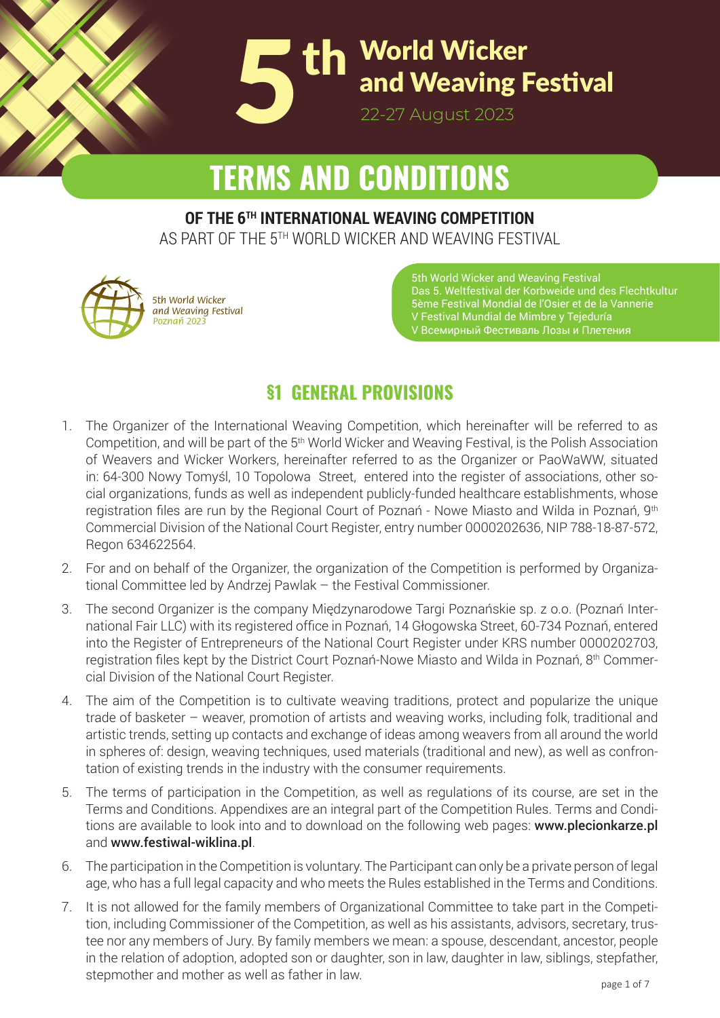

# **TERMS AND CONDITIONS**

#### **OF THE 6TH INTERNATIONAL WEAVING COMPETITION**

AS PART OF THE 5TH WORLD WICKER AND WEAVING FESTIVAL



*5th World Wicker and Weaving Festival*

5th World Wicker and Weaving Festival Das 5. Weltfestival der Korbweide und des Flechtkultur 5ème Festival Mondial de l'Osier et de la Vannerie V Festival Mundial de Mimbre y Tejeduría V Всемирный Фестиваль Лозы и Плетения

## **§1 GENERAL PROVISIONS**

- 1. The Organizer of the International Weaving Competition, which hereinafter will be referred to as Competition, and will be part of the 5th World Wicker and Weaving Festival, is the Polish Association of Weavers and Wicker Workers, hereinafter referred to as the Organizer or PaoWaWW, situated in: 64-300 Nowy Tomyśl, 10 Topolowa Street, entered into the register of associations, other social organizations, funds as well as independent publicly-funded healthcare establishments, whose registration files are run by the Regional Court of Poznań - Nowe Miasto and Wilda in Poznań, 9<sup>th</sup> Commercial Division of the National Court Register, entry number 0000202636, NIP 788-18-87-572, Regon 634622564.
- 2. For and on behalf of the Organizer, the organization of the Competition is performed by Organizational Committee led by Andrzej Pawlak – the Festival Commissioner.
- 3. The second Organizer is the company Międzynarodowe Targi Poznańskie sp. z o.o. (Poznań International Fair LLC) with its registered office in Poznań, 14 Głogowska Street, 60-734 Poznań, entered into the Register of Entrepreneurs of the National Court Register under KRS number 0000202703, registration files kept by the District Court Poznań-Nowe Miasto and Wilda in Poznań, 8th Commercial Division of the National Court Register.
- 4. The aim of the Competition is to cultivate weaving traditions, protect and popularize the unique trade of basketer – weaver, promotion of artists and weaving works, including folk, traditional and artistic trends, setting up contacts and exchange of ideas among weavers from all around the world in spheres of: design, weaving techniques, used materials (traditional and new), as well as confrontation of existing trends in the industry with the consumer requirements.
- 5. The terms of participation in the Competition, as well as regulations of its course, are set in the Terms and Conditions. Appendixes are an integral part of the Competition Rules. Terms and Conditions are available to look into and to download on the following web pages: www.plecionkarze.pl and www.festiwal-wiklina.pl.
- **ORGANIZER: ORGANIZER:** 6. The participation in the Competition is voluntary. The Participant can only be a private person of legal age, who has a full legal capacity and who meets the Rules established in the Terms and Conditions.
	- 7. It is not allowed for the family members of Organizational Committee to take part in the Competition, including Commissioner of the Competition, as well as his assistants, advisors, secretary, trus- $T$ **Andrzej Pawlak - Commissioner of the Fes� val** in the relation of adoption, adopted son or daughter, son in law, daughter in law, siblings, stepfather, stepmother and mother as well as father in law. then, including commissioner or the component, as men as me accidente, adhesive, corretary, that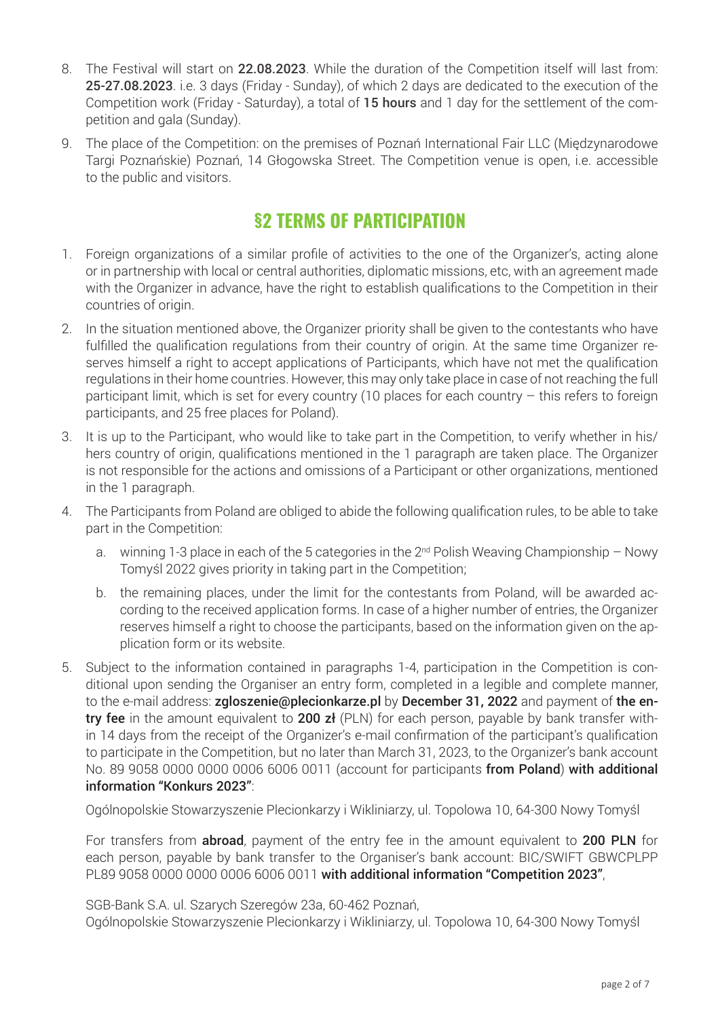- 8. The Festival will start on 22.08.2023. While the duration of the Competition itself will last from: 25-27.08.2023. i.e. 3 days (Friday - Sunday), of which 2 days are dedicated to the execution of the Competition work (Friday - Saturday), a total of 15 hours and 1 day for the settlement of the competition and gala (Sunday).
- 9. The place of the Competition: on the premises of Poznań International Fair LLC (Międzynarodowe Targi Poznańskie) Poznań, 14 Głogowska Street. The Competition venue is open, i.e. accessible to the public and visitors.

#### **§2 TERMS OF PARTICIPATION**

- 1. Foreign organizations of a similar profile of activities to the one of the Organizer's, acting alone or in partnership with local or central authorities, diplomatic missions, etc, with an agreement made with the Organizer in advance, have the right to establish qualifications to the Competition in their countries of origin.
- 2. In the situation mentioned above, the Organizer priority shall be given to the contestants who have fulfilled the qualification regulations from their country of origin. At the same time Organizer reserves himself a right to accept applications of Participants, which have not met the qualification regulations in their home countries. However, this may only take place in case of not reaching the full participant limit, which is set for every country (10 places for each country – this refers to foreign participants, and 25 free places for Poland).
- 3. It is up to the Participant, who would like to take part in the Competition, to verify whether in his/ hers country of origin, qualifications mentioned in the 1 paragraph are taken place. The Organizer is not responsible for the actions and omissions of a Participant or other organizations, mentioned in the 1 paragraph.
- 4. The Participants from Poland are obliged to abide the following qualification rules, to be able to take part in the Competition:
	- a. winning 1-3 place in each of the 5 categories in the  $2<sup>nd</sup>$  Polish Weaving Championship Nowy Tomyśl 2022 gives priority in taking part in the Competition;
	- b. the remaining places, under the limit for the contestants from Poland, will be awarded according to the received application forms. In case of a higher number of entries, the Organizer reserves himself a right to choose the participants, based on the information given on the application form or its website.
- 5. Subject to the information contained in paragraphs 1-4, participation in the Competition is conditional upon sending the Organiser an entry form, completed in a legible and complete manner, to the e-mail address: zgloszenie@plecionkarze.pl by December 31, 2022 and payment of the entry fee in the amount equivalent to 200 zł (PLN) for each person, payable by bank transfer within 14 days from the receipt of the Organizer's e-mail confirmation of the participant's qualification to participate in the Competition, but no later than March 31, 2023, to the Organizer's bank account No. 89 9058 0000 0000 0006 6006 0011 (account for participants from Poland) with additional information "Konkurs 2023":

Ogólnopolskie Stowarzyszenie Plecionkarzy i Wikliniarzy, ul. Topolowa 10, 64-300 Nowy Tomyśl

For transfers from **abroad**, payment of the entry fee in the amount equivalent to 200 PLN for each person, payable by bank transfer to the Organiser's bank account: BIC/SWIFT GBWCPLPP PL89 9058 0000 0000 0006 6006 0011 with additional information "Competition 2023",

SGB-Bank S.A. ul. Szarych Szeregów 23a, 60-462 Poznań, Ogólnopolskie Stowarzyszenie Plecionkarzy i Wikliniarzy, ul. Topolowa 10, 64-300 Nowy Tomyśl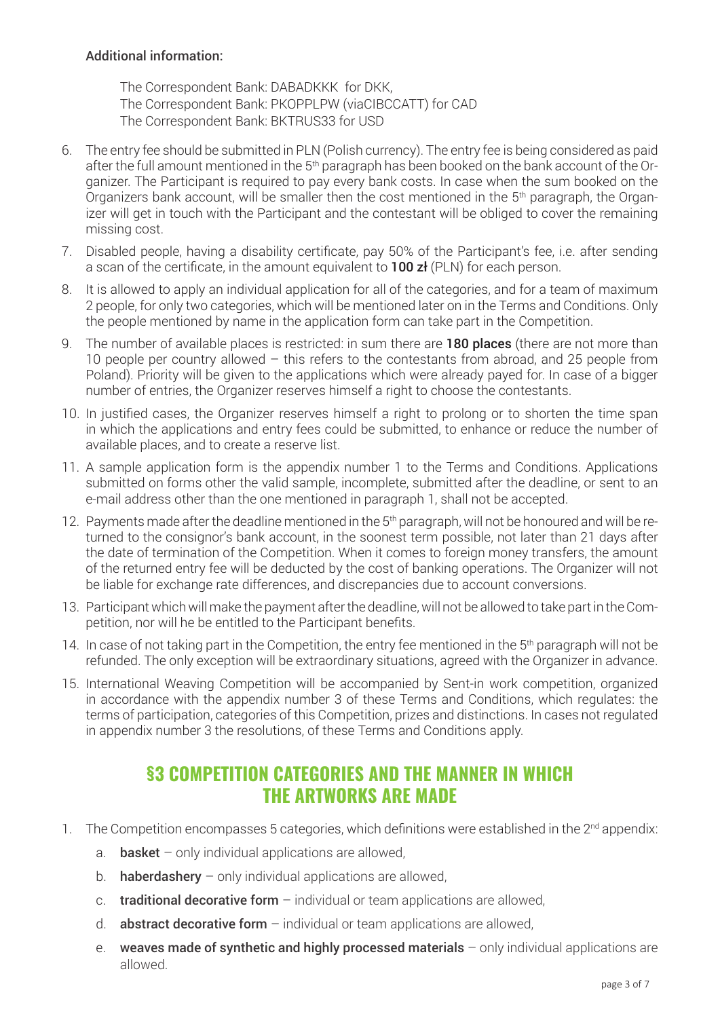#### Additional information:

The Correspondent Bank: DABADKKK for DKK, The Correspondent Bank: PKOPPLPW (viaCIBCCATT) for CAD The Correspondent Bank: BKTRUS33 for USD

- 6. The entry fee should be submitted in PLN (Polish currency). The entry fee is being considered as paid after the full amount mentioned in the 5<sup>th</sup> paragraph has been booked on the bank account of the Organizer. The Participant is required to pay every bank costs. In case when the sum booked on the Organizers bank account, will be smaller then the cost mentioned in the 5<sup>th</sup> paragraph, the Organizer will get in touch with the Participant and the contestant will be obliged to cover the remaining missing cost.
- 7. Disabled people, having a disability certificate, pay 50% of the Participant's fee, i.e. after sending a scan of the certificate, in the amount equivalent to **100**  $z<sup>i</sup>$  (PLN) for each person.
- 8. It is allowed to apply an individual application for all of the categories, and for a team of maximum 2 people, for only two categories, which will be mentioned later on in the Terms and Conditions. Only the people mentioned by name in the application form can take part in the Competition.
- 9. The number of available places is restricted: in sum there are **180 places** (there are not more than 10 people per country allowed – this refers to the contestants from abroad, and 25 people from Poland). Priority will be given to the applications which were already payed for. In case of a bigger number of entries, the Organizer reserves himself a right to choose the contestants.
- 10. In justified cases, the Organizer reserves himself a right to prolong or to shorten the time span in which the applications and entry fees could be submitted, to enhance or reduce the number of available places, and to create a reserve list.
- 11. A sample application form is the appendix number 1 to the Terms and Conditions. Applications submitted on forms other the valid sample, incomplete, submitted after the deadline, or sent to an e-mail address other than the one mentioned in paragraph 1, shall not be accepted.
- 12. Payments made after the deadline mentioned in the 5<sup>th</sup> paragraph, will not be honoured and will be returned to the consignor's bank account, in the soonest term possible, not later than 21 days after the date of termination of the Competition. When it comes to foreign money transfers, the amount of the returned entry fee will be deducted by the cost of banking operations. The Organizer will not be liable for exchange rate differences, and discrepancies due to account conversions.
- 13. Participant which will make the payment after the deadline, will not be allowed to take part in the Competition, nor will he be entitled to the Participant benefits.
- 14. In case of not taking part in the Competition, the entry fee mentioned in the 5<sup>th</sup> paragraph will not be refunded. The only exception will be extraordinary situations, agreed with the Organizer in advance.
- 15. International Weaving Competition will be accompanied by Sent-in work competition, organized in accordance with the appendix number 3 of these Terms and Conditions, which regulates: the terms of participation, categories of this Competition, prizes and distinctions. In cases not regulated in appendix number 3 the resolutions, of these Terms and Conditions apply.

#### **§3 COMPETITION CATEGORIES AND THE MANNER IN WHICH THE ARTWORKS ARE MADE**

- 1. The Competition encompasses 5 categories, which definitions were established in the 2<sup>nd</sup> appendix:
	- a. **basket** only individual applications are allowed,
	- b. **haberdashery** only individual applications are allowed,
	- c. **traditional decorative form**  $-$  individual or team applications are allowed.
	- d. **abstract decorative form**  $-$  individual or team applications are allowed,
	- e. weaves made of synthetic and highly processed materials  $-$  only individual applications are allowed.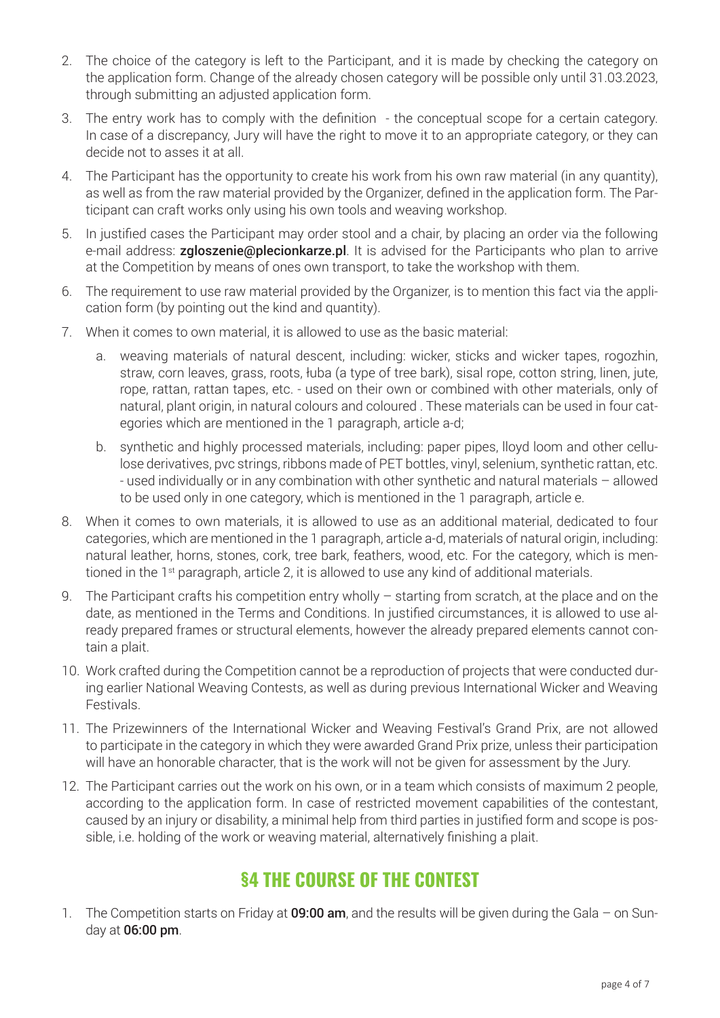- 2. The choice of the category is left to the Participant, and it is made by checking the category on the application form. Change of the already chosen category will be possible only until 31.03.2023, through submitting an adjusted application form.
- 3. The entry work has to comply with the definition the conceptual scope for a certain category. In case of a discrepancy, Jury will have the right to move it to an appropriate category, or they can decide not to asses it at all.
- 4. The Participant has the opportunity to create his work from his own raw material (in any quantity), as well as from the raw material provided by the Organizer, defined in the application form. The Participant can craft works only using his own tools and weaving workshop.
- 5. In justified cases the Participant may order stool and a chair, by placing an order via the following e-mail address: zgloszenie@plecionkarze.pl. It is advised for the Participants who plan to arrive at the Competition by means of ones own transport, to take the workshop with them.
- 6. The requirement to use raw material provided by the Organizer, is to mention this fact via the application form (by pointing out the kind and quantity).
- 7. When it comes to own material, it is allowed to use as the basic material:
	- a. weaving materials of natural descent, including: wicker, sticks and wicker tapes, rogozhin, straw, corn leaves, grass, roots, łuba (a type of tree bark), sisal rope, cotton string, linen, jute, rope, rattan, rattan tapes, etc. - used on their own or combined with other materials, only of natural, plant origin, in natural colours and coloured . These materials can be used in four categories which are mentioned in the 1 paragraph, article a-d;
	- b. synthetic and highly processed materials, including: paper pipes, lloyd loom and other cellulose derivatives, pvc strings, ribbons made of PET bottles, vinyl, selenium, synthetic rattan, etc. - used individually or in any combination with other synthetic and natural materials – allowed to be used only in one category, which is mentioned in the 1 paragraph, article e.
- 8. When it comes to own materials, it is allowed to use as an additional material, dedicated to four categories, which are mentioned in the 1 paragraph, article a-d, materials of natural origin, including: natural leather, horns, stones, cork, tree bark, feathers, wood, etc. For the category, which is mentioned in the 1<sup>st</sup> paragraph, article 2, it is allowed to use any kind of additional materials.
- 9. The Participant crafts his competition entry wholly starting from scratch, at the place and on the date, as mentioned in the Terms and Conditions. In justified circumstances, it is allowed to use already prepared frames or structural elements, however the already prepared elements cannot contain a plait.
- 10. Work crafted during the Competition cannot be a reproduction of projects that were conducted during earlier National Weaving Contests, as well as during previous International Wicker and Weaving Festivals.
- 11. The Prizewinners of the International Wicker and Weaving Festival's Grand Prix, are not allowed to participate in the category in which they were awarded Grand Prix prize, unless their participation will have an honorable character, that is the work will not be given for assessment by the Jury.
- 12. The Participant carries out the work on his own, or in a team which consists of maximum 2 people, according to the application form. In case of restricted movement capabilities of the contestant, caused by an injury or disability, a minimal help from third parties in justified form and scope is possible, i.e. holding of the work or weaving material, alternatively finishing a plait.

### **§4 THE COURSE OF THE CONTEST**

1. The Competition starts on Friday at **09:00 am**, and the results will be given during the Gala – on Sunday at 06:00 pm.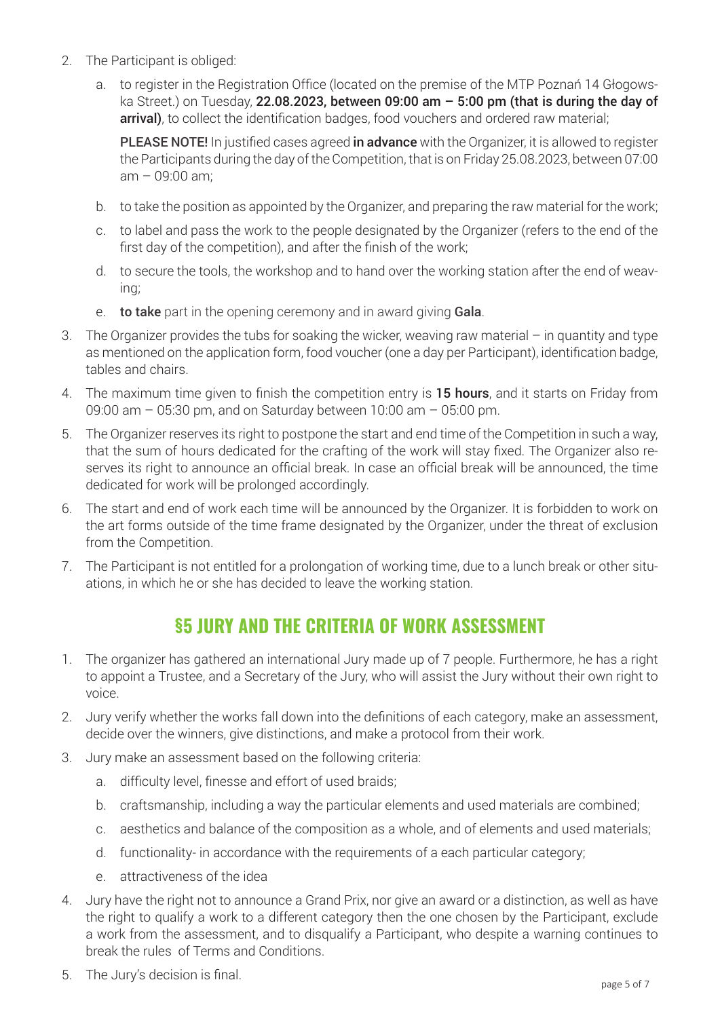- 2. The Participant is obliged:
	- a. to register in the Registration Office (located on the premise of the MTP Poznań 14 Głogowska Street.) on Tuesday, 22.08.2023, between 09:00 am – 5:00 pm (that is during the day of arrival), to collect the identification badges, food vouchers and ordered raw material;

PLEASE NOTE! In justified cases agreed in advance with the Organizer, it is allowed to register the Participants during the day of the Competition, that is on Friday 25.08.2023, between 07:00 am – 09:00 am;

- b. to take the position as appointed by the Organizer, and preparing the raw material for the work;
- c. to label and pass the work to the people designated by the Organizer (refers to the end of the first day of the competition), and after the finish of the work;
- d. to secure the tools, the workshop and to hand over the working station after the end of weaving;
- e. to take part in the opening ceremony and in award giving Gala.
- 3. The Organizer provides the tubs for soaking the wicker, weaving raw material in quantity and type as mentioned on the application form, food voucher (one a day per Participant), identification badge, tables and chairs.
- 4. The maximum time given to finish the competition entry is 15 hours, and it starts on Friday from 09:00 am – 05:30 pm, and on Saturday between 10:00 am – 05:00 pm.
- 5. The Organizer reserves its right to postpone the start and end time of the Competition in such a way, that the sum of hours dedicated for the crafting of the work will stay fixed. The Organizer also reserves its right to announce an official break. In case an official break will be announced, the time dedicated for work will be prolonged accordingly.
- 6. The start and end of work each time will be announced by the Organizer. It is forbidden to work on the art forms outside of the time frame designated by the Organizer, under the threat of exclusion from the Competition.
- 7. The Participant is not entitled for a prolongation of working time, due to a lunch break or other situations, in which he or she has decided to leave the working station.

#### **§5 JURY AND THE CRITERIA OF WORK ASSESSMENT**

- 1. The organizer has gathered an international Jury made up of 7 people. Furthermore, he has a right to appoint a Trustee, and a Secretary of the Jury, who will assist the Jury without their own right to voice.
- 2. Jury verify whether the works fall down into the definitions of each category, make an assessment, decide over the winners, give distinctions, and make a protocol from their work.
- 3. Jury make an assessment based on the following criteria:
	- a. difficulty level, finesse and effort of used braids;
	- b. craftsmanship, including a way the particular elements and used materials are combined;
	- c. aesthetics and balance of the composition as a whole, and of elements and used materials;
	- d. functionality- in accordance with the requirements of a each particular category;
	- e. attractiveness of the idea
- 4. Jury have the right not to announce a Grand Prix, nor give an award or a distinction, as well as have the right to qualify a work to a different category then the one chosen by the Participant, exclude a work from the assessment, and to disqualify a Participant, who despite a warning continues to break the rules of Terms and Conditions.
- 5. The Jury's decision is final.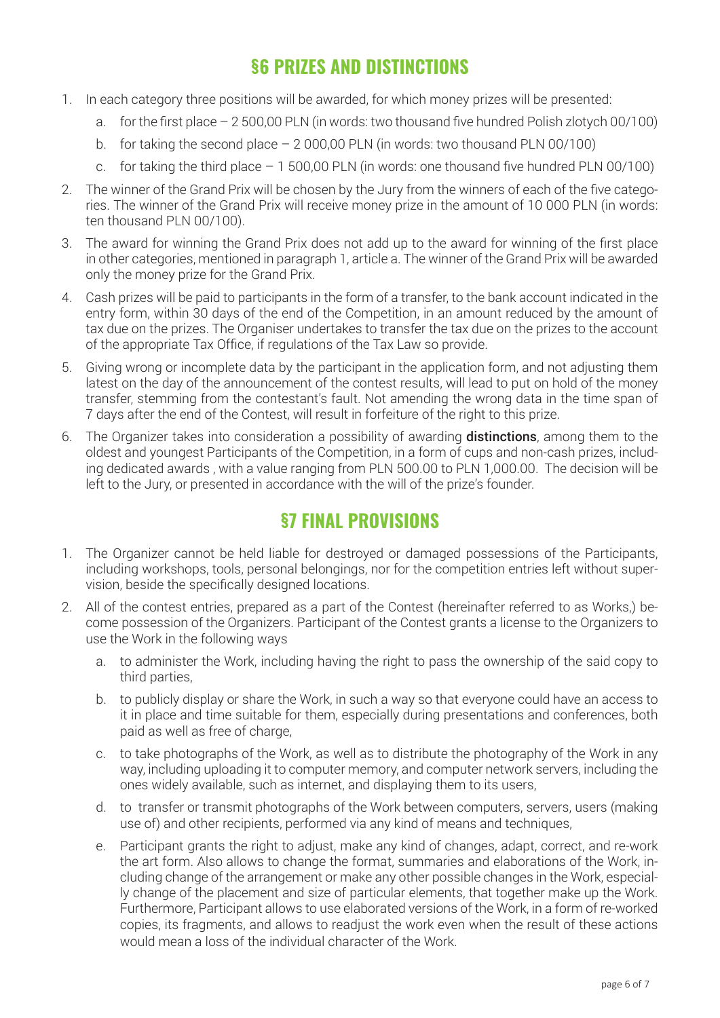### **§6 PRIZES AND DISTINCTIONS**

- 1. In each category three positions will be awarded, for which money prizes will be presented:
	- a. for the first place 2 500,00 PLN (in words: two thousand five hundred Polish zlotych 00/100)
	- b. for taking the second place  $-2000.00$  PLN (in words: two thousand PLN 00/100)
	- c. for taking the third place 1 500,00 PLN (in words: one thousand five hundred PLN 00/100)
- 2. The winner of the Grand Prix will be chosen by the Jury from the winners of each of the five categories. The winner of the Grand Prix will receive money prize in the amount of 10 000 PLN (in words: ten thousand PLN 00/100).
- 3. The award for winning the Grand Prix does not add up to the award for winning of the first place in other categories, mentioned in paragraph 1, article a. The winner of the Grand Prix will be awarded only the money prize for the Grand Prix.
- 4. Cash prizes will be paid to participants in the form of a transfer, to the bank account indicated in the entry form, within 30 days of the end of the Competition, in an amount reduced by the amount of tax due on the prizes. The Organiser undertakes to transfer the tax due on the prizes to the account of the appropriate Tax Office, if regulations of the Tax Law so provide.
- 5. Giving wrong or incomplete data by the participant in the application form, and not adjusting them latest on the day of the announcement of the contest results, will lead to put on hold of the money transfer, stemming from the contestant's fault. Not amending the wrong data in the time span of 7 days after the end of the Contest, will result in forfeiture of the right to this prize.
- 6. The Organizer takes into consideration a possibility of awarding distinctions, among them to the oldest and youngest Participants of the Competition, in a form of cups and non-cash prizes, including dedicated awards , with a value ranging from PLN 500.00 to PLN 1,000.00. The decision will be left to the Jury, or presented in accordance with the will of the prize's founder.

### **§7 FINAL PROVISIONS**

- 1. The Organizer cannot be held liable for destroyed or damaged possessions of the Participants, including workshops, tools, personal belongings, nor for the competition entries left without supervision, beside the specifically designed locations.
- 2. All of the contest entries, prepared as a part of the Contest (hereinafter referred to as Works,) become possession of the Organizers. Participant of the Contest grants a license to the Organizers to use the Work in the following ways
	- a. to administer the Work, including having the right to pass the ownership of the said copy to third parties,
	- b. to publicly display or share the Work, in such a way so that everyone could have an access to it in place and time suitable for them, especially during presentations and conferences, both paid as well as free of charge,
	- c. to take photographs of the Work, as well as to distribute the photography of the Work in any way, including uploading it to computer memory, and computer network servers, including the ones widely available, such as internet, and displaying them to its users,
	- d. to transfer or transmit photographs of the Work between computers, servers, users (making use of) and other recipients, performed via any kind of means and techniques,
	- e. Participant grants the right to adjust, make any kind of changes, adapt, correct, and re-work the art form. Also allows to change the format, summaries and elaborations of the Work, including change of the arrangement or make any other possible changes in the Work, especially change of the placement and size of particular elements, that together make up the Work. Furthermore, Participant allows to use elaborated versions of the Work, in a form of re-worked copies, its fragments, and allows to readjust the work even when the result of these actions would mean a loss of the individual character of the Work.